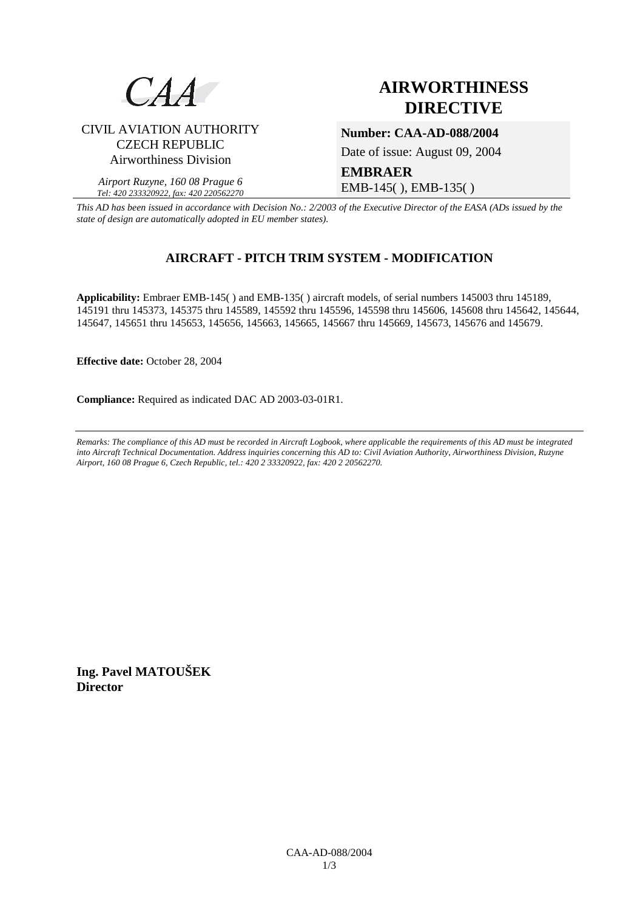

CIVIL AVIATION AUTHORITY CZECH REPUBLIC Airworthiness Division

*Airport Ruzyne, 160 08 Prague 6 Tel: 420 233320922, fax: 420 220562270*

# **AIRWORTHINESS DIRECTIVE**

**Number: CAA-AD-088/2004** 

Date of issue: August 09, 2004

**EMBRAER**  EMB-145( ), EMB-135( )

*This AD has been issued in accordance with Decision No.: 2/2003 of the Executive Director of the EASA (ADs issued by the state of design are automatically adopted in EU member states).*

## **AIRCRAFT - PITCH TRIM SYSTEM - MODIFICATION**

**Applicability:** Embraer EMB-145( ) and EMB-135( ) aircraft models, of serial numbers 145003 thru 145189, 145191 thru 145373, 145375 thru 145589, 145592 thru 145596, 145598 thru 145606, 145608 thru 145642, 145644, 145647, 145651 thru 145653, 145656, 145663, 145665, 145667 thru 145669, 145673, 145676 and 145679.

**Effective date:** October 28, 2004

**Compliance:** Required as indicated DAC AD 2003-03-01R1.

*Remarks: The compliance of this AD must be recorded in Aircraft Logbook, where applicable the requirements of this AD must be integrated into Aircraft Technical Documentation. Address inquiries concerning this AD to: Civil Aviation Authority, Airworthiness Division, Ruzyne Airport, 160 08 Prague 6, Czech Republic, tel.: 420 2 33320922, fax: 420 2 20562270.* 

**Ing. Pavel MATOUŠEK Director**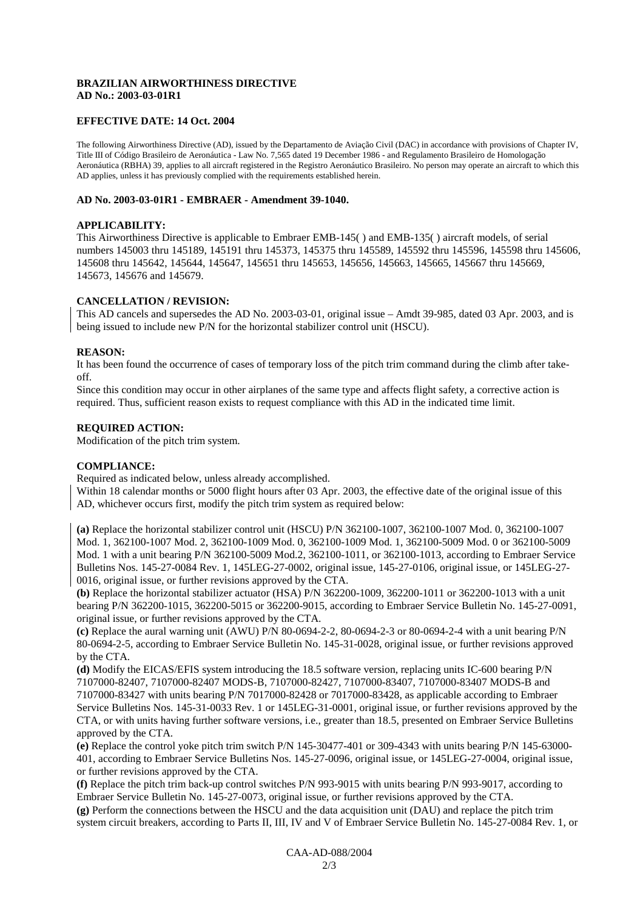### **BRAZILIAN AIRWORTHINESS DIRECTIVE AD No.: 2003-03-01R1**

#### **EFFECTIVE DATE: 14 Oct. 2004**

The following Airworthiness Directive (AD), issued by the Departamento de Aviação Civil (DAC) in accordance with provisions of Chapter IV, Title III of Código Brasileiro de Aeronáutica - Law No. 7,565 dated 19 December 1986 - and Regulamento Brasileiro de Homologação Aeronáutica (RBHA) 39, applies to all aircraft registered in the Registro Aeronáutico Brasileiro. No person may operate an aircraft to which this AD applies, unless it has previously complied with the requirements established herein.

#### **AD No. 2003-03-01R1 - EMBRAER - Amendment 39-1040.**

#### **APPLICABILITY:**

This Airworthiness Directive is applicable to Embraer EMB-145( ) and EMB-135( ) aircraft models, of serial numbers 145003 thru 145189, 145191 thru 145373, 145375 thru 145589, 145592 thru 145596, 145598 thru 145606, 145608 thru 145642, 145644, 145647, 145651 thru 145653, 145656, 145663, 145665, 145667 thru 145669, 145673, 145676 and 145679.

### **CANCELLATION / REVISION:**

This AD cancels and supersedes the AD No. 2003-03-01, original issue – Amdt 39-985, dated 03 Apr. 2003, and is being issued to include new P/N for the horizontal stabilizer control unit (HSCU).

#### **REASON:**

It has been found the occurrence of cases of temporary loss of the pitch trim command during the climb after takeoff.

Since this condition may occur in other airplanes of the same type and affects flight safety, a corrective action is required. Thus, sufficient reason exists to request compliance with this AD in the indicated time limit.

#### **REQUIRED ACTION:**

Modification of the pitch trim system.

#### **COMPLIANCE:**

Required as indicated below, unless already accomplished.

Within 18 calendar months or 5000 flight hours after 03 Apr. 2003, the effective date of the original issue of this AD, whichever occurs first, modify the pitch trim system as required below:

**(a)** Replace the horizontal stabilizer control unit (HSCU) P/N 362100-1007, 362100-1007 Mod. 0, 362100-1007 Mod. 1, 362100-1007 Mod. 2, 362100-1009 Mod. 0, 362100-1009 Mod. 1, 362100-5009 Mod. 0 or 362100-5009 Mod. 1 with a unit bearing P/N 362100-5009 Mod.2, 362100-1011, or 362100-1013, according to Embraer Service Bulletins Nos. 145-27-0084 Rev. 1, 145LEG-27-0002, original issue, 145-27-0106, original issue, or 145LEG-27- 0016, original issue, or further revisions approved by the CTA.

**(b)** Replace the horizontal stabilizer actuator (HSA) P/N 362200-1009, 362200-1011 or 362200-1013 with a unit bearing P/N 362200-1015, 362200-5015 or 362200-9015, according to Embraer Service Bulletin No. 145-27-0091, original issue, or further revisions approved by the CTA.

**(c)** Replace the aural warning unit (AWU) P/N 80-0694-2-2, 80-0694-2-3 or 80-0694-2-4 with a unit bearing P/N 80-0694-2-5, according to Embraer Service Bulletin No. 145-31-0028, original issue, or further revisions approved by the CTA.

**(d)** Modify the EICAS/EFIS system introducing the 18.5 software version, replacing units IC-600 bearing P/N 7107000-82407, 7107000-82407 MODS-B, 7107000-82427, 7107000-83407, 7107000-83407 MODS-B and 7107000-83427 with units bearing P/N 7017000-82428 or 7017000-83428, as applicable according to Embraer Service Bulletins Nos. 145-31-0033 Rev. 1 or 145LEG-31-0001, original issue, or further revisions approved by the CTA, or with units having further software versions, i.e., greater than 18.5, presented on Embraer Service Bulletins approved by the CTA.

**(e)** Replace the control yoke pitch trim switch P/N 145-30477-401 or 309-4343 with units bearing P/N 145-63000- 401, according to Embraer Service Bulletins Nos. 145-27-0096, original issue, or 145LEG-27-0004, original issue, or further revisions approved by the CTA.

**(f)** Replace the pitch trim back-up control switches P/N 993-9015 with units bearing P/N 993-9017, according to Embraer Service Bulletin No. 145-27-0073, original issue, or further revisions approved by the CTA.

**(g)** Perform the connections between the HSCU and the data acquisition unit (DAU) and replace the pitch trim system circuit breakers, according to Parts II, III, IV and V of Embraer Service Bulletin No. 145-27-0084 Rev. 1, or